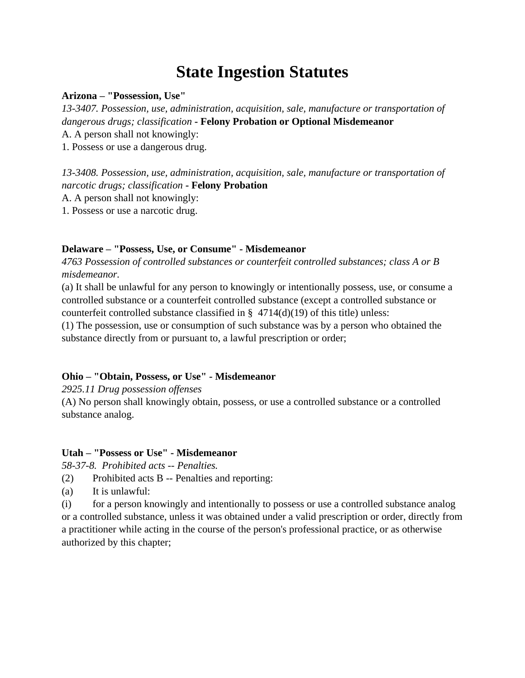# **State Ingestion Statutes**

### **Arizona – "Possession, Use"**

*13-3407. Possession, use, administration, acquisition, sale, manufacture or transportation of dangerous drugs; classification* **- Felony Probation or Optional Misdemeanor**

A. A person shall not knowingly:

1. Possess or use a dangerous drug.

*13-3408. Possession, use, administration, acquisition, sale, manufacture or transportation of narcotic drugs; classification* **- Felony Probation**

A. A person shall not knowingly:

1. Possess or use a narcotic drug.

# **Delaware – "Possess, Use, or Consume" - Misdemeanor**

*4763 Possession of controlled substances or counterfeit controlled substances; class A or B misdemeanor.*

(a) It shall be unlawful for any person to knowingly or intentionally possess, use, or consume a controlled substance or a counterfeit controlled substance (except a controlled substance or counterfeit controlled substance classified in  $\S$  4714(d)(19) of this title) unless:

(1) The possession, use or consumption of such substance was by a person who obtained the substance directly from or pursuant to, a lawful prescription or order;

# **Ohio – "Obtain, Possess, or Use" - Misdemeanor**

*2925.11 Drug possession offenses*

(A) No person shall knowingly obtain, possess, or use a controlled substance or a controlled substance analog.

# **Utah – "Possess or Use" - Misdemeanor**

*58-37-8. Prohibited acts -- Penalties.* 

- (2) Prohibited acts B -- Penalties and reporting:
- (a) It is unlawful:

(i) for a person knowingly and intentionally to possess or use a controlled substance analog or a controlled substance, unless it was obtained under a valid prescription or order, directly from a practitioner while acting in the course of the person's professional practice, or as otherwise authorized by this chapter;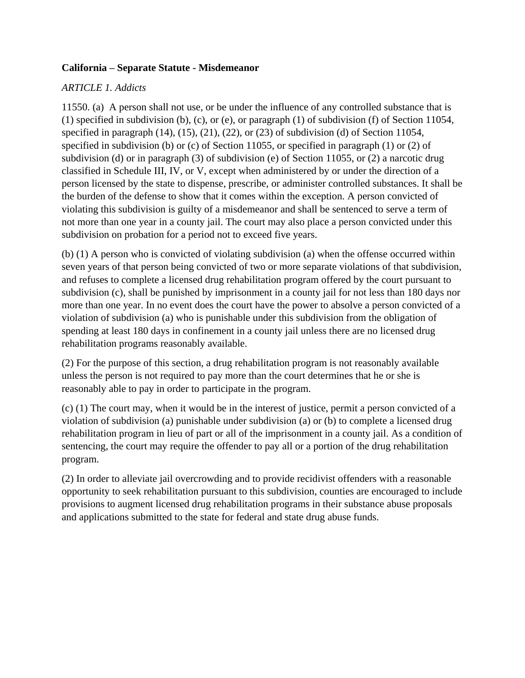## **California – Separate Statute - Misdemeanor**

# *ARTICLE 1. Addicts*

11550. (a) A person shall not use, or be under the influence of any controlled substance that is (1) specified in subdivision (b), (c), or (e), or paragraph (1) of subdivision (f) of Section 11054, specified in paragraph  $(14)$ ,  $(15)$ ,  $(21)$ ,  $(22)$ , or  $(23)$  of subdivision (d) of Section 11054, specified in subdivision (b) or (c) of Section 11055, or specified in paragraph (1) or (2) of subdivision (d) or in paragraph (3) of subdivision (e) of Section 11055, or (2) a narcotic drug classified in Schedule III, IV, or V, except when administered by or under the direction of a person licensed by the state to dispense, prescribe, or administer controlled substances. It shall be the burden of the defense to show that it comes within the exception. A person convicted of violating this subdivision is guilty of a misdemeanor and shall be sentenced to serve a term of not more than one year in a county jail. The court may also place a person convicted under this subdivision on probation for a period not to exceed five years.

(b) (1) A person who is convicted of violating subdivision (a) when the offense occurred within seven years of that person being convicted of two or more separate violations of that subdivision, and refuses to complete a licensed drug rehabilitation program offered by the court pursuant to subdivision (c), shall be punished by imprisonment in a county jail for not less than 180 days nor more than one year. In no event does the court have the power to absolve a person convicted of a violation of subdivision (a) who is punishable under this subdivision from the obligation of spending at least 180 days in confinement in a county jail unless there are no licensed drug rehabilitation programs reasonably available.

(2) For the purpose of this section, a drug rehabilitation program is not reasonably available unless the person is not required to pay more than the court determines that he or she is reasonably able to pay in order to participate in the program.

(c) (1) The court may, when it would be in the interest of justice, permit a person convicted of a violation of subdivision (a) punishable under subdivision (a) or (b) to complete a licensed drug rehabilitation program in lieu of part or all of the imprisonment in a county jail. As a condition of sentencing, the court may require the offender to pay all or a portion of the drug rehabilitation program.

(2) In order to alleviate jail overcrowding and to provide recidivist offenders with a reasonable opportunity to seek rehabilitation pursuant to this subdivision, counties are encouraged to include provisions to augment licensed drug rehabilitation programs in their substance abuse proposals and applications submitted to the state for federal and state drug abuse funds.